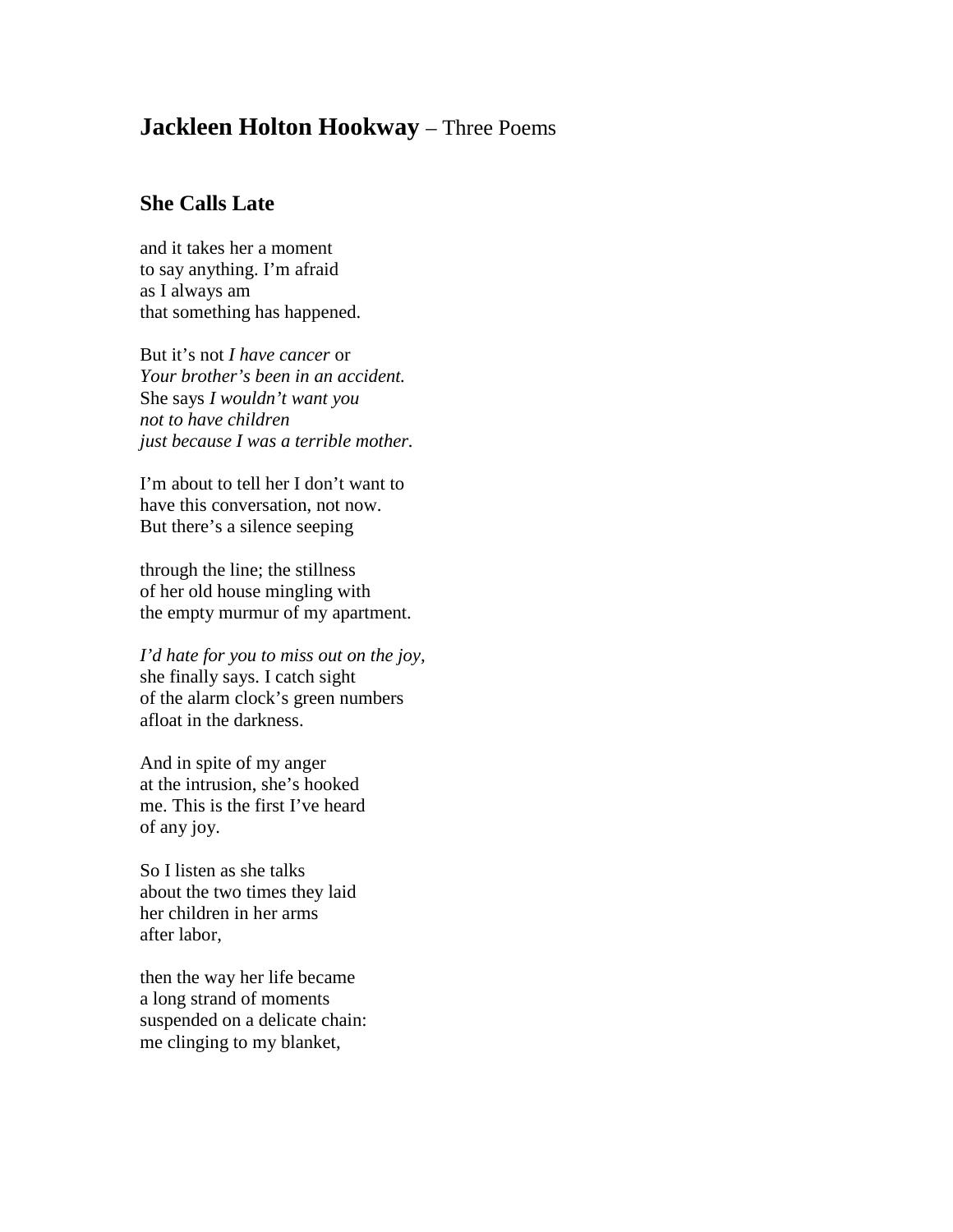## **Jackleen Holton Hookway** – Three Poems

## **She Calls Late**

and it takes her a moment to say anything. I'm afraid as I always am that something has happened.

But it's not *I have cancer* or *Your brother's been in an accident.* She says *I wouldn't want you not to have children just because I was a terrible mother.*

I'm about to tell her I don't want to have this conversation, not now. But there's a silence seeping

through the line; the stillness of her old house mingling with the empty murmur of my apartment.

*I'd hate for you to miss out on the joy,* she finally says. I catch sight of the alarm clock's green numbers afloat in the darkness.

And in spite of my anger at the intrusion, she's hooked me. This is the first I've heard of any joy.

So I listen as she talks about the two times they laid her children in her arms after labor,

then the way her life became a long strand of moments suspended on a delicate chain: me clinging to my blanket,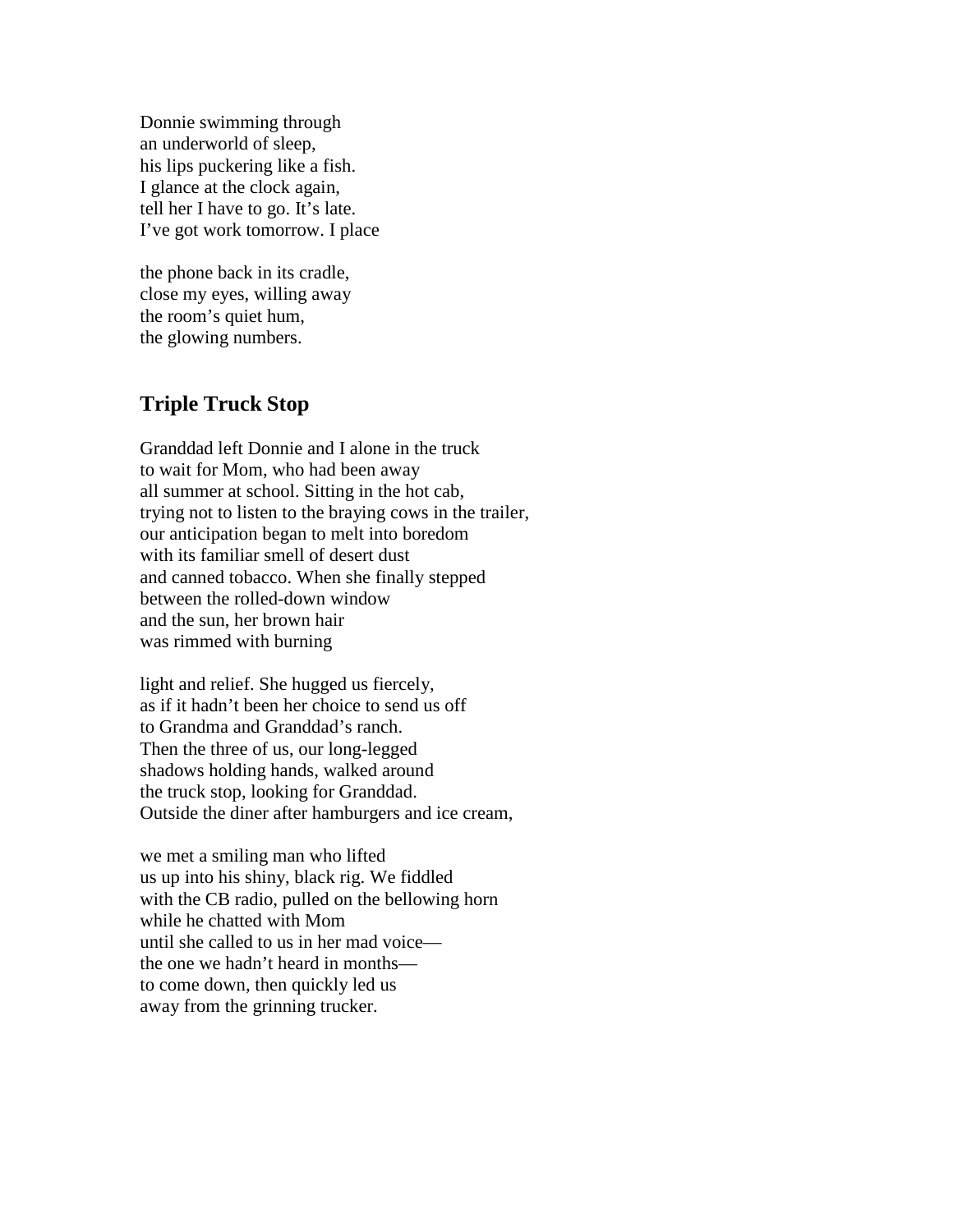Donnie swimming through an underworld of sleep, his lips puckering like a fish. I glance at the clock again, tell her I have to go. It's late. I've got work tomorrow. I place

the phone back in its cradle, close my eyes, willing away the room's quiet hum, the glowing numbers.

## **Triple Truck Stop**

Granddad left Donnie and I alone in the truck to wait for Mom, who had been away all summer at school. Sitting in the hot cab, trying not to listen to the braying cows in the trailer, our anticipation began to melt into boredom with its familiar smell of desert dust and canned tobacco. When she finally stepped between the rolled-down window and the sun, her brown hair was rimmed with burning

light and relief. She hugged us fiercely, as if it hadn't been her choice to send us off to Grandma and Granddad's ranch. Then the three of us, our long-legged shadows holding hands, walked around the truck stop, looking for Granddad. Outside the diner after hamburgers and ice cream,

we met a smiling man who lifted us up into his shiny, black rig. We fiddled with the CB radio, pulled on the bellowing horn while he chatted with Mom until she called to us in her mad voice the one we hadn't heard in months to come down, then quickly led us away from the grinning trucker.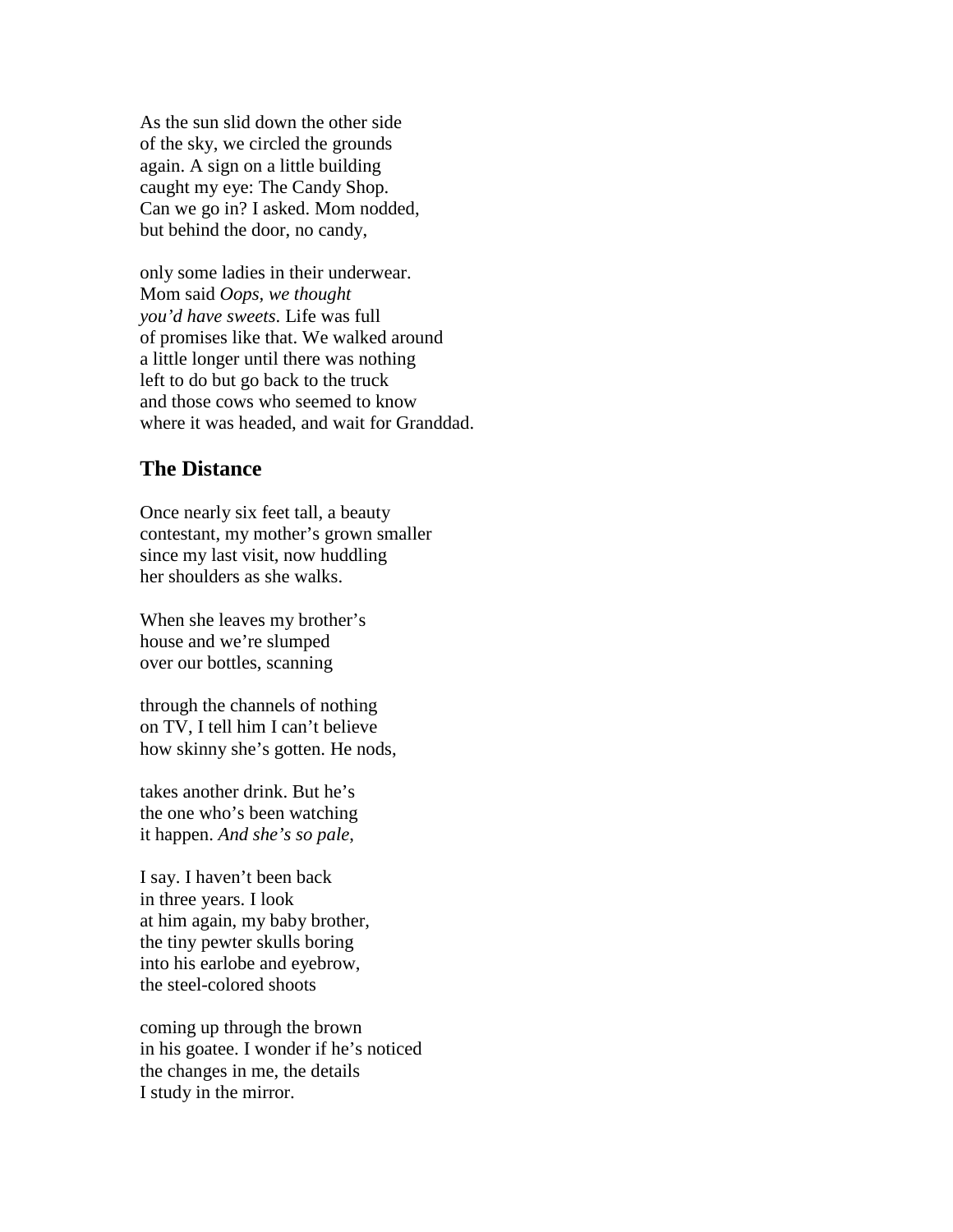As the sun slid down the other side of the sky, we circled the grounds again. A sign on a little building caught my eye: The Candy Shop. Can we go in? I asked. Mom nodded, but behind the door, no candy,

only some ladies in their underwear. Mom said *Oops, we thought you'd have sweets*. Life was full of promises like that. We walked around a little longer until there was nothing left to do but go back to the truck and those cows who seemed to know where it was headed, and wait for Granddad.

## **The Distance**

Once nearly six feet tall, a beauty contestant, my mother's grown smaller since my last visit, now huddling her shoulders as she walks.

When she leaves my brother's house and we're slumped over our bottles, scanning

through the channels of nothing on TV, I tell him I can't believe how skinny she's gotten. He nods,

takes another drink. But he's the one who's been watching it happen. *And she's so pale*,

I say. I haven't been back in three years. I look at him again, my baby brother, the tiny pewter skulls boring into his earlobe and eyebrow, the steel-colored shoots

coming up through the brown in his goatee. I wonder if he's noticed the changes in me, the details I study in the mirror.